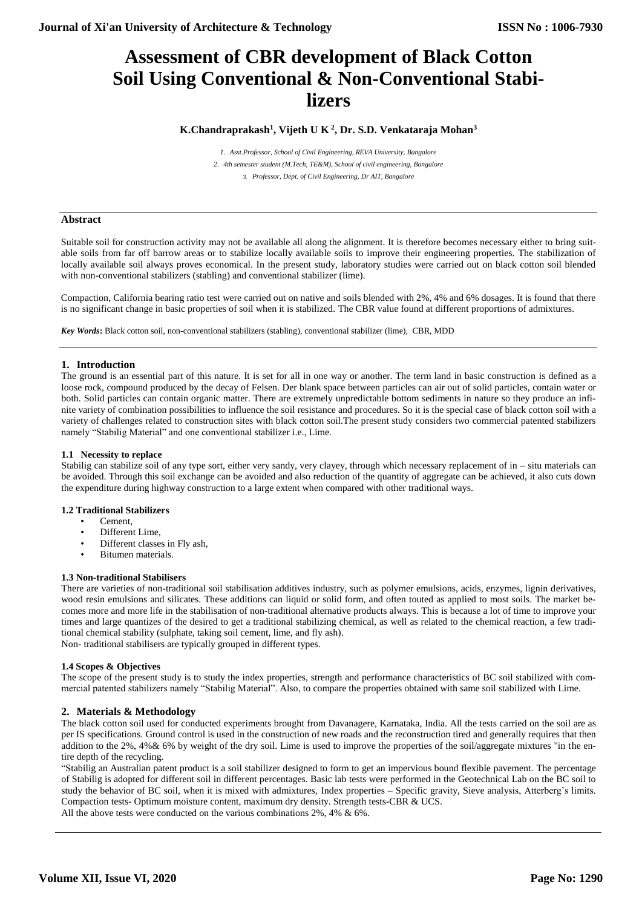# **Assessment of CBR development of Black Cotton Soil Using Conventional & Non-Conventional Stabilizers**

# **K.Chandraprakash<sup>1</sup> , Vijeth U K <sup>2</sup> , Dr. S.D. Venkataraja Mohan<sup>3</sup>**

*1. Asst.Professor, School of Civil Engineering, REVA University, Bangalore 2. 4th semester student (M.Tech, TE&M), School of civil engineering, Bangalore 3. Professor, Dept. of Civil Engineering, Dr AIT, Bangalore*

# **Abstract**

Suitable soil for construction activity may not be available all along the alignment. It is therefore becomes necessary either to bring suitable soils from far off barrow areas or to stabilize locally available soils to improve their engineering properties. The stabilization of locally available soil always proves economical. In the present study, laboratory studies were carried out on black cotton soil blended with non-conventional stabilizers (stabling) and conventional stabilizer (lime).

Compaction, California bearing ratio test were carried out on native and soils blended with 2%, 4% and 6% dosages. It is found that there is no significant change in basic properties of soil when it is stabilized. The CBR value found at different proportions of admixtures.

*Key Words***:** Black cotton soil, non-conventional stabilizers (stabling), conventional stabilizer (lime), CBR, MDD

# **1. Introduction**

The ground is an essential part of this nature. It is set for all in one way or another. The term land in basic construction is defined as a loose rock, compound produced by the decay of Felsen. Der blank space between particles can air out of solid particles, contain water or both. Solid particles can contain organic matter. There are extremely unpredictable bottom sediments in nature so they produce an infinite variety of combination possibilities to influence the soil resistance and procedures. So it is the special case of black cotton soil with a variety of challenges related to construction sites with black cotton soil.The present study considers two commercial patented stabilizers namely "Stabilig Material" and one conventional stabilizer i.e., Lime.

#### **1.1 Necessity to replace**

Stabilig can stabilize soil of any type sort, either very sandy, very clayey, through which necessary replacement of in – situ materials can be avoided. Through this soil exchange can be avoided and also reduction of the quantity of aggregate can be achieved, it also cuts down the expenditure during highway construction to a large extent when compared with other traditional ways.

#### **1.2 Traditional Stabilizers**

- Cement,
- Different Lime.
- Different classes in Fly ash,
- Bitumen materials.

#### **1.3 Non-traditional Stabilisers**

There are varieties of non-traditional soil stabilisation additives industry, such as polymer emulsions, acids, enzymes, lignin derivatives, wood resin emulsions and silicates. These additions can liquid or solid form, and often touted as applied to most soils. The market becomes more and more life in the stabilisation of non-traditional alternative products always. This is because a lot of time to improve your times and large quantizes of the desired to get a traditional stabilizing chemical, as well as related to the chemical reaction, a few traditional chemical stability (sulphate, taking soil cement, lime, and fly ash).

Non- traditional stabilisers are typically grouped in different types.

# **1.4 Scopes & Objectives**

The scope of the present study is to study the index properties, strength and performance characteristics of BC soil stabilized with commercial patented stabilizers namely "Stabilig Material". Also, to compare the properties obtained with same soil stabilized with Lime.

#### **2. Materials & Methodology**

The black cotton soil used for conducted experiments brought from Davanagere, Karnataka, India. All the tests carried on the soil are as per IS specifications. Ground control is used in the construction of new roads and the reconstruction tired and generally requires that then addition to the 2%, 4%& 6% by weight of the dry soil. Lime is used to improve the properties of the soil/aggregate mixtures "in the entire depth of the recycling.

"Stabilig an Australian patent product is a soil stabilizer designed to form to get an impervious bound flexible pavement. The percentage of Stabilig is adopted for different soil in different percentages. Basic lab tests were performed in the Geotechnical Lab on the BC soil to study the behavior of BC soil, when it is mixed with admixtures, Index properties – Specific gravity, Sieve analysis, Atterberg's limits. Compaction tests- Optimum moisture content, maximum dry density. Strength tests-CBR & UCS. All the above tests were conducted on the various combinations 2%, 4% & 6%.

**Volume XII, Issue VI, 2020**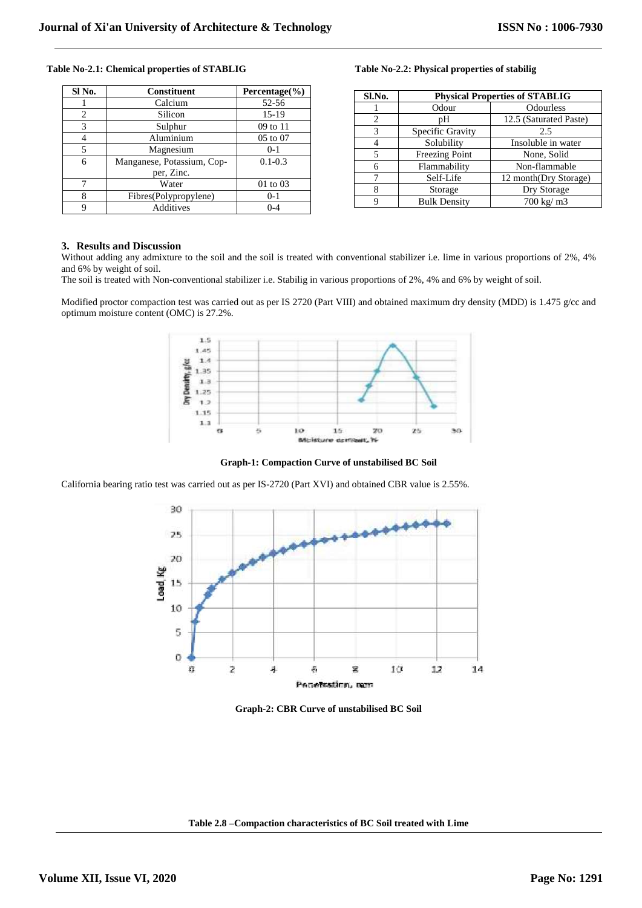#### **Table No-2.1: Chemical properties of STABLIG Table No-2.2: Physical properties of stabilig**

| SI No. | <b>Constituent</b>         | Percentage(%) |
|--------|----------------------------|---------------|
|        | Calcium                    | 52-56         |
| 2      | Silicon                    | $15-19$       |
| 3      | Sulphur                    | 09 to 11      |
| 4      | Aluminium                  | 05 to 07      |
| 5      | Magnesium                  | $0-1$         |
| 6      | Manganese, Potassium, Cop- | $0.1 - 0.3$   |
|        | per, Zinc.                 |               |
| 7      | Water                      | 01 to 03      |
| 8      | Fibres(Polypropylene)      | $0-1$         |
| 9      | Additives                  | $0 - 4$       |

| Sl.No. | <b>Physical Properties of STABLIG</b> |                        |  |
|--------|---------------------------------------|------------------------|--|
|        | Odour                                 | Odourless              |  |
| 2      | pΗ                                    | 12.5 (Saturated Paste) |  |
| 3      | Specific Gravity                      | 2.5                    |  |
| 4      | Solubility                            | Insoluble in water     |  |
| 5      | <b>Freezing Point</b>                 | None, Solid            |  |
| 6      | Flammability                          | Non-flammable          |  |
|        | Self-Life                             | 12 month(Dry Storage)  |  |
| 8      | Storage                               | Dry Storage            |  |
| 9      | <b>Bulk Density</b>                   | 700 kg/ m3             |  |

### **3. Results and Discussion**

Without adding any admixture to the soil and the soil is treated with conventional stabilizer i.e. lime in various proportions of 2%, 4% and 6% by weight of soil.

The soil is treated with Non-conventional stabilizer i.e. Stabilig in various proportions of 2%, 4% and 6% by weight of soil.

Modified proctor compaction test was carried out as per IS 2720 (Part VIII) and obtained maximum dry density (MDD) is 1.475 g/cc and optimum moisture content (OMC) is 27.2%.



**Graph-1: Compaction Curve of unstabilised BC Soil**

California bearing ratio test was carried out as per IS-2720 (Part XVI) and obtained CBR value is 2.55%.



**Graph-2: CBR Curve of unstabilised BC Soil**

**Table 2.8 –Compaction characteristics of BC Soil treated with Lime**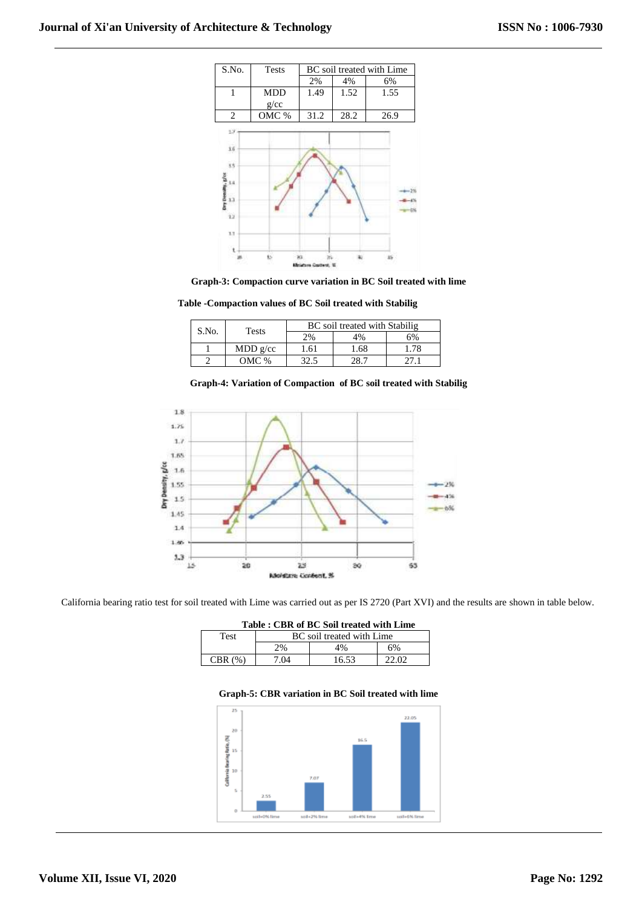



**Table -Compaction values of BC Soil treated with Stabilig**

| S.No. | Tests    | BC soil treated with Stabilig |      |    |
|-------|----------|-------------------------------|------|----|
|       |          | $^{19}$                       | 4%   | 6% |
|       | MDD g/cc | 1.61                          | 1.68 |    |
|       | $OMC$ %  | 32.5                          |      |    |





California bearing ratio test for soil treated with Lime was carried out as per IS 2720 (Part XVI) and the results are shown in table below.

| Table: CBR of BC Soil treated with Lime |  |
|-----------------------------------------|--|
|-----------------------------------------|--|

| Test       | BC soil treated with Lime |       |    |
|------------|---------------------------|-------|----|
|            | $2\%$                     | 4%    | 6% |
| CBR<br>(0) | 7.04                      | 16.53 |    |

#### **Graph-5: CBR variation in BC Soil treated with lime**